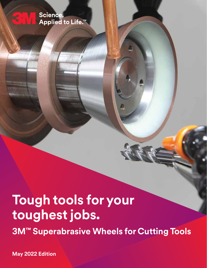## Science. Applied to Life.<sup>™</sup>

 $\mathbf{6}$ 

# **Tough tools for your toughest jobs. 3M™ Superabrasive Wheels for Cutting Tools**

**May 2022 Edition**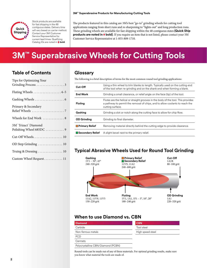

Stock products are available for fast shipping in the 48 contiguous states. Delivery time will vary based on carrier method. Contact your 3M Customer Service Representative for current lead times. Qualifying Catalog IDs are noted in  $\blacklozenge$  **bold**.

The products featured in this catalog are 3M's best "go-to" grinding wheels for cutting tool applications ranging from short runs and re-sharpening to "lights-out" and long production runs. These grinding wheels are available for fast shipping within the 48 contiguous states **(Quick Ship products are noted in**  $\blacklozenge$  **bold)**. If you require an item that is not listed, please contact your 3M Customer Service Representative at 1-855-809-1710.

# **3M™ Superabrasive Wheels for Cutting Tools**

### **Table of Contents**

| Tips for Optimizing Your                         |
|--------------------------------------------------|
| Fluting Wheels 4-5                               |
|                                                  |
| Primary & Secondary                              |
| Wheels for End Work  8                           |
| 3M" Trizact" Diamond<br>Polishing Wheel 685DC  9 |
| Cut-Off Wheels 10                                |
| OD Step Grinding  10                             |
| Truing & Dressing  10                            |
| Custom Wheel Request 11                          |

### **Glossary**

The following is a brief description of terms for the most common round tool grinding applications:

| Cut-Off               | Using a thin wheel to trim blanks to length. Typically used on the cutting end<br>of the tool when re-grinding and on the shank end when forming a blank.                             |
|-----------------------|---------------------------------------------------------------------------------------------------------------------------------------------------------------------------------------|
| <b>End Work</b>       | Grinding a small clearance, or relief angle on the face (tip) of the tool.                                                                                                            |
| <b>Fluting</b>        | Flutes are the helical or straight grooves in the body of the tool. This provides<br>a pathway to permit the removal of chips, and to allow coolants to reach the<br>cutting surface. |
| Gashing               | Grinding a slot or notch along the cutting face to allow for chip flow.                                                                                                               |
| <b>OD Grinding</b>    | Grinding to final diameter.                                                                                                                                                           |
| <b>Primary Relief</b> | Removing material directly behind the cutting edge to provide clearance.                                                                                                              |
| Secondary Relief      | A slight bevel next to the primary relief.                                                                                                                                            |

### **Typical Abrasive Wheels Used for Round Tool Grinding**



### **When to use Diamond vs. CBN**

| <b>Diamond</b>                     | <b>CBN</b>       |
|------------------------------------|------------------|
| Carbide                            | Tool steel       |
| Non-ferrous metals                 | High speed steel |
| <b>PCD</b>                         |                  |
| Cermets                            |                  |
| Polycrystalline CBN/Diamond (PCBN) |                  |

Round tools can be made out of any of these materials. For optimal grinding results, make sure you know what material the tools are made of.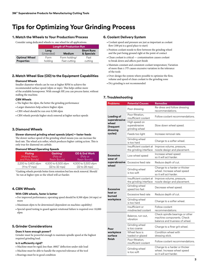# **Tips for Optimizing Your Grinding Process**

#### **1.Match the Wheels to Your Production/Process**

Consider using dedicated wheels vs. one wheel for all applications.

|                      | <b>Length of Production Run</b>                                        |               |         |  |  |  |
|----------------------|------------------------------------------------------------------------|---------------|---------|--|--|--|
|                      | <b>Short Runs</b><br>Long<br>(Untended)<br>& Specials<br><b>Medium</b> |               |         |  |  |  |
| <b>Optimal Wheel</b> | Form                                                                   | Form holding/ | Fast    |  |  |  |
| <b>Properties</b>    | holding                                                                | Fast cutting  | cutting |  |  |  |

#### **2. Match Wheel Size (OD) to the Equipment Capabilities**

#### **Diamond Wheels**

Smaller diameter wheels can be run at higher RPM to achieve the recommended surface speed (sfpm or mps). This helps utilize more of the available horsepower. With enough HP, you can process faster, without stalling the machine.

#### **CBN Wheels**

- The higher the sfpm, the better the grinding performance
- Larger diameters help achieve higher sfpm
- CBN wheel should be run over 8,500 sfpm
- CBN wheels provide higher stock removal at higher surface speeds

#### **3.Diamond Wheels**

### **Slower diamond grinding wheel speeds (sfpm) = faster feeds** The slower surface speed of the grinding wheel means you can increase the

feed rate. The wheel acts softer, which produces higher cutting action. This is only true for diamond on carbide.

#### **Diamond Wheel Operating Speeds**

| <b>Fluting</b>      | Gashing*            |                     |
|---------------------|---------------------|---------------------|
| (Hybrid, Resin      | (Poly or            |                     |
| and Poly Bonds)     | Resin Bonds)        |                     |
| 2,200 to 3,400 sfpm | 4,500 to 6,500 sfpm | 4,500 to 5,500 sfpm |
| (11 to 17 mps)      | (22 to 32 mps)      | (22 to 28 mps)      |

\*Gashing wheels provide better form retention but less stock removal. Should be run at higher rpm so the wheel will act harder.

#### **4.CBN Wheels**

#### **With CBN wheels, faster is better**

- For improved performance, operating speed should be 8,500 sfpm (44 mps) or more
- Maximum sfpm to be determined (dependent on machine capability)
- Special speed testing to guard against rotational failure is required over 10,000 sfpm

#### **5.Grinder Considerations**

#### **Does it have enough power?**

Grinder must be powerful enough to maintain spindle speed at the highest required grinding load.

#### **Is it sufficiently rigid?**

- Machine must be rigid; less than .0002" deflection under side load
- Machine must be able to handle the expected tolerance of the tool
- Bearings must be in good condition

#### **6. Coolant Delivery System**

- Coolant speed and pressure are just as important as coolant flow (100 psi is a good place to start)
- Position coolant nozzle to flow between the grinding wheel and the part being ground right at the point of contact
- Clean coolant is critical contamination causes coolant to break down and affects part finish
- Maintain constant and consistent coolant temperature; Variation of more than  $\pm$  5°F causes excessive variation in the tolerance of the tools
- Over-design the system where possible to optimize the flow, volume and speed of clean coolant to the grinding zone
- Dry grinding is not recommended

#### **7. Troubleshooting**

| <b>Problems</b>                | <b>Potential Causes</b>                           | Remedies                                                                                       |  |  |  |
|--------------------------------|---------------------------------------------------|------------------------------------------------------------------------------------------------|--|--|--|
|                                | Poor dressing                                     | Re-dress and follow dressing<br>recommendations.                                               |  |  |  |
| Loading of<br>superabrasive    | Poor filtration,<br>insufficient coolant          | Follow coolant recommendations.                                                                |  |  |  |
| wheel<br>(frequent<br>dressing | High speed on<br>superabrasive<br>grinding wheel  | Slow down wheel speed.                                                                         |  |  |  |
| cycles)                        | Feeds too light                                   | Increase removal rate.                                                                         |  |  |  |
|                                | Grinding wheel<br>is too hard                     | Change to a softer wheel.                                                                      |  |  |  |
|                                | Insufficient coolant at<br>the grinding interface | Improve volume, pressure,<br>nozzle design and placement.                                      |  |  |  |
| <b>Excessive</b><br>wear of    | Low wheel speed                                   | Increase wheel speed<br>so it will act harder.                                                 |  |  |  |
| superabrasive<br>wheel         | Excessive feed rate                               | Reduce depth of cut.                                                                           |  |  |  |
|                                | Grinding wheel<br>is too soft                     | Change to a harder or thicker<br>wheel. Increase wheel speed<br>so it will act harder.         |  |  |  |
|                                | Insufficient coolant at<br>the grinding interface | Improve volume, pressure,<br>nozzle design and placement.                                      |  |  |  |
| <b>Excessive</b>               | Grinding wheel<br>speed too fast                  | Decrease wheel speed.                                                                          |  |  |  |
| heat or<br>burned              | Excessive feed rate                               | Reduce depth of cut.                                                                           |  |  |  |
| workpiece                      | Grinding wheel<br>is too hard                     | Change to a softer wheel.                                                                      |  |  |  |
|                                | Insufficient or<br>misdirected coolant            | Follow coolant<br>recommendations.                                                             |  |  |  |
|                                | Balance, run-out,<br>vibration                    | Check spindle bearings or other<br>machine components. Check<br>balance and trueness of wheel. |  |  |  |
| Poor                           | Grinding wheel<br>is too coarse                   | Change to a finer grit wheel.                                                                  |  |  |  |
| workpiece<br>surface           | Wheel face is<br>loaded or glazed                 | Condition wheel with<br>dressing stick.                                                        |  |  |  |
| finish                         | Poor filtration.<br>insufficient coolant          | Follow coolant recommendations.                                                                |  |  |  |
|                                | Grinding wheel<br>is too soft                     | Change to a harder or thicker<br>wheel. Increase wheel speed<br>so it will act harder.         |  |  |  |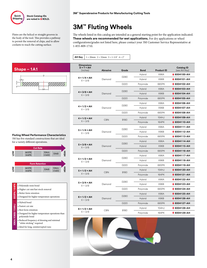

Flutes are the helical or straight grooves in the body of the tool. This provides a pathway to permit the removal of chips, and to allow coolants to reach the cutting surface.

# **3M™ Fluting Wheels**

The wheels listed in this catalog are intended as a general starting point for the application indicated. **These wheels are recommended for wet applications.** For dry applications or wheel configurations/grades not listed here, please contact your 3M Customer Service Representative at 1-855-809-1710.

#### **AH Key**  $1 = 20$ mm  $2 = 32$ mm  $3 = 1-1/4$ "  $4 = 2$ "



#### **Fluting Wheel Performance Characteristics** 3M has five standard constructions that are ideal for a variety different operations.



**665PK/164PK** • Polyimide resin bond 665PK/164 • Higher cut rate/fast stock removal • Better form retention  $\bullet$  Designed for higher temperature operations • Hybrid bond **154HJ X96A/X96B/154HJ** • Fastest cut rate • Best form retention X96A/X96B/ • Designed for higher temperature operations than polyimide bond • Reduced frequency of dressing and minimal "white sticking" required • Ideal for long, uninterrupted runs

| <b>Dimensions</b>                     |                 |                  |               |                   |                                   |
|---------------------------------------|-----------------|------------------|---------------|-------------------|-----------------------------------|
| $D \times T \times AH$<br>(inches)    | <b>Abrasive</b> | Grade            | <b>Bond</b>   | <b>Product ID</b> | <b>Catalog ID</b><br>(see AH Key) |
|                                       |                 |                  | Hybrid        | <b>X96A</b>       | ♦ 6004100-AH                      |
| $4 \times 1/4 \times AH$<br>$X = 3/8$ | Diamond         | D <sub>280</sub> | Hybrid        | X96B              | 6004101-AH                        |
|                                       |                 | D <sub>220</sub> | Polyimide     | 665PK             | ♦ 6004102-AH                      |
|                                       |                 |                  | <b>Hybrid</b> | <b>X96A</b>       | $\bigcirc$ 6004103-AH             |
| $4 \times 3/8 \times AH$<br>$X = 3/8$ | Diamond         | D <sub>280</sub> | Hybrid        | X96B              | 6004104-AH                        |
|                                       |                 | D <sub>220</sub> | Polyimide     | 665PK             | $\bigcirc$ 6004105-AH             |
|                                       |                 |                  | <b>Hybrid</b> | <b>X96A</b>       | 6004106-AH                        |
| $4 \times 1/2 \times AH$<br>$X = 3/8$ | Diamond         | D280             | <b>Hybrid</b> | X96B              | 6004107-AH                        |
|                                       |                 | D220             | Polyimide     | 665PK             | $\bigcirc$ 6004108-AH             |
| $4 \times 1/2 \times AH$              |                 |                  | <b>Hybrid</b> | 154HJ             | 6004109-AH                        |
| $X = 3/8$                             | <b>CBN</b>      | <b>B180</b>      | Polyimide     | 164PK             | $\bigcirc$ 6004110-AH             |
|                                       |                 |                  | Hybrid        | <b>X96A</b>       | $\bigcirc$ 6004111-AH             |
| $5 \times 1/4 \times AH$<br>$X = 3/8$ | Diamond         | D <sub>280</sub> | Hybrid        | X96B              | 6004112-AH                        |
|                                       |                 | D220             | Polyimide     | 665PK             | 6004113-AH                        |
|                                       |                 | D <sub>280</sub> | <b>Hybrid</b> | <b>X96A</b>       | $\bullet$ 6004114-AH              |
| $5 \times 3/8 \times AH$<br>$X = 3/8$ | Diamond         |                  | Hybrid        | <b>X96B</b>       | 6004115-AH                        |
|                                       |                 | D <sub>220</sub> | Polyimide     | 665PK             | $\bigcirc$ 6004116-AH             |
|                                       |                 |                  | <b>Hybrid</b> | <b>X96A</b>       | $\bullet$ 6004117-AH              |
| $5 \times 1/2 \times AH$<br>$X = 3/8$ | Diamond         | D <sub>280</sub> | <b>Hybrid</b> | X96B              | 6004118-AH                        |
|                                       |                 | D <sub>220</sub> | Polyimide     | 665PK             | ♦ 6004119-AH                      |
| $5 \times 1/2 \times AH$              |                 |                  | Hybrid        | 154HJ             | $\bigcirc$ 6004120-AH             |
| $X = 3/8$                             | <b>CBN</b>      | <b>B180</b>      | Polyimide     | 164PK             | $\bullet$ 6004121-AH              |
|                                       |                 |                  | <b>Hybrid</b> | <b>X96A</b>       | $\bigcirc$ 6004122-AH             |
| $5 \times 3/4 \times AH$<br>$X = 3/8$ | Diamond         | D <sub>280</sub> | <b>Hybrid</b> | X96B              | ♦ 6004123-AH                      |
|                                       |                 | D <sub>220</sub> | Polyimide     | 665PK             | ♦ 6004124-AH                      |
|                                       |                 |                  | <b>Hybrid</b> | <b>X96A</b>       | 6004125-AH                        |
| $6 \times 1/2 \times AH$<br>$X = 3/8$ | Diamond         | D <sub>280</sub> | <b>Hybrid</b> | X96B              | 6004126-AH                        |
|                                       |                 | D220             | Polyimide     | 665PK             | $\bigcirc$ 6004127-AH             |
| $6 \times 1/2 \times AH$              |                 |                  | Hybrid        | 154HJ             | 6004128-AH                        |
| $X = 3/8$                             | <b>CBN</b>      | <b>B180</b>      | Polyimide     | 164PK             | 6004129-AH                        |

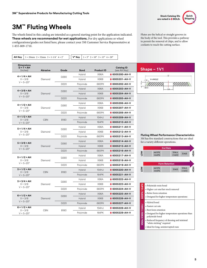



# **3M™ Fluting Wheels**

The wheels listed in this catalog are intended as a general starting point for the application indicated. **These wheels are recommended for wet applications.** For dry applications or wheel configurations/grades not listed here, please contact your 3M Customer Service Representative at 1-855-809-1710.

**AH Key**  $1 = 20$ mm  $2 = 32$ mm  $3 = 1-1/4$ "  $4 = 2$ "  $\bigcup \mathbf{V}^{\circ}$  Key  $1 = 5^{\circ}$   $2 = 10^{\circ}$   $3 = 15^{\circ}$   $4 = 20^{\circ}$ 

**Shape – 1V1** D V=ANGLE

U U U U U U U U U

Flutes are the helical or straight grooves in the body of the tool. This provides a pathway to permit the removal of chips, and to allow coolants to reach the cutting surface.

| <b>Dimensions</b><br>$D \times T \times AH$<br>(inches)       | <b>Abrasive</b> | Grade            | <b>Bond</b>   | <b>Product ID</b> | <b>Catalog ID</b><br>(see AH Key) | Shape - 1V1                                                 |  |
|---------------------------------------------------------------|-----------------|------------------|---------------|-------------------|-----------------------------------|-------------------------------------------------------------|--|
| $4 \times 1/4 \times AH$<br>$X = 3/8$                         |                 | D280             | <b>Hybrid</b> | <b>X96A</b>       | ♦ 6005200-AH-V                    | D.                                                          |  |
|                                                               | Diamond         |                  | Hybrid        | X96B              | $\bigcirc$ 6005201-AH-V           | $V_{\text{A}}$ V=ANGLE                                      |  |
| $V = 5 - 20^{\circ}$                                          |                 | D220             | Polyimide     | 665PK             | ♦ 6005202-AH-V                    |                                                             |  |
| $4 \times 3/8 \times AH$                                      |                 |                  | <b>Hybrid</b> | <b>X96A</b>       | $\bigcirc$ 6005203-AH-V           | -lx 1-<br>- AH                                              |  |
| $X = 3/8$                                                     | Diamond         | D <sub>280</sub> | <b>Hybrid</b> | X96B              | $\bigcirc$ 6005204-AH-V           |                                                             |  |
| $V = 5 - 20^{\circ}$                                          |                 | D <sub>220</sub> | Polyimide     | 665PK             | $\bigcirc$ 6005205-AH-V           |                                                             |  |
| $4 \times 1/2 \times AH$                                      |                 | D280             | Hybrid        | <b>X96A</b>       | ♦ 6005206-AH-V                    |                                                             |  |
| $X = 3/8$                                                     | Diamond         |                  | Hybrid        | X96B              | ♦ 6005207-AH-V                    |                                                             |  |
| $V = 5 - 20^{\circ}$                                          |                 | D <sub>220</sub> | Polyimide     | 665PK             | $\bigcirc$ 6005208-AH-V           |                                                             |  |
| $4 \times 1/2 \times AH$                                      |                 |                  | <b>Hybrid</b> | 154HJ             | $\triangle$ 6005209-AH-V          |                                                             |  |
| $X = 3/8$<br>$V = 5 - 20^{\circ}$                             | <b>CBN</b>      | <b>B180</b>      | Polyimide     | 164PK             | $\bigcirc$ 6005210-AH-V           |                                                             |  |
|                                                               | Diamond         |                  | <b>Hybrid</b> | <b>X96A</b>       | ♦ 6005211-AH-V                    |                                                             |  |
| $5 \times 1/4 \times AH$<br>$X = 3/8$<br>$V = 5 - 20^{\circ}$ |                 |                  | D280          | Hybrid            | <b>X96B</b>                       | $\bigcirc$ 6005212-AH-V                                     |  |
|                                                               |                 | D220             | Polyimide     | 665PK             | $\bigcirc$ 6005213-AH-V           | <b>Fluting Wheel Performa</b>                               |  |
| $5 \times 3/8 \times AH$                                      | Diamond         |                  | <b>Hybrid</b> | <b>X96A</b>       | $\bigcirc$ 6005214-AH-V           | 3M has five standard const<br>for a variety different opera |  |
| $X = 3/8$                                                     |                 | D <sub>280</sub> | <b>Hybrid</b> | X96B              | ♦ 6005215-AH-V                    | <b>Cut Rat</b><br>665PK                                     |  |
| $V = 5 - 20^{\circ}$                                          |                 | D <sub>220</sub> | Polyimide     | 665PK             | $\bigcirc$ 6005216-AH-V           |                                                             |  |
| $5 \times 1/2 \times AH$                                      |                 |                  | Hybrid        | <b>X96A</b>       | ♦ 6005217-AH-V                    | ŠΣ<br>164PK                                                 |  |
| $X = 3/8$                                                     | Diamond         | D280             | Hybrid        | X96B              | ♦ 6005218-AH-V                    |                                                             |  |
| $V = 5 - 20^{\circ}$                                          |                 | D220             | Polyimide     | 665PK             | $\bullet$ 6005219-AH-V            | <b>Form Reter</b>                                           |  |
| $5 \times 1/2 \times AH$                                      |                 |                  | <b>Hybrid</b> | 154HJ             | $\bigcirc$ 6005220-AH-V           | NOT<br>665PK<br>164PK                                       |  |
| $X = 3/8$<br>$V = 5 - 20^{\circ}$                             | <b>CBN</b>      | <b>B180</b>      | Polyimide     | 164PK             | ♦ 6005221-AH-V                    |                                                             |  |
|                                                               |                 |                  | Hybrid        | <b>X96A</b>       | ♦ 6005222-AH-V                    |                                                             |  |
| $5 \times 3/4 \times AH$<br>$X = 3/8$                         | D280<br>Diamond | Hybrid           | X96B          | ♦ 6005223-AH-V    | • Polyimide resin bond            |                                                             |  |
| $V = 5 - 20^{\circ}$                                          |                 | D <sub>220</sub> | Polyimide     | 665PK             | $\bigcirc$ 6005224-AH-V           | • Higher cut rate/fast stoc                                 |  |
|                                                               |                 |                  | Hybrid        | <b>X96A</b>       | ♦ 6005225-AH-V                    | 365PK/164PK<br>• Better form retention                      |  |
| $6 \times 1/2 \times AH$<br>$X = 3/8$                         | Diamond         | D <sub>280</sub> | <b>Hybrid</b> | <b>X96B</b>       | $\bigcirc$ 6005226-AH-V           | • Designed for higher tem                                   |  |
| $V = 5 - 20^{\circ}$                                          |                 | D <sub>220</sub> | Polyimide     | 665PK             | ♦ 6005227-AH-V                    | • Hybrid bond                                               |  |
| $6 \times 1/2 \times AH$                                      |                 |                  | Hybrid        | 154HJ             | ♦ 6005228-AH-V                    | /154HJ<br>• Fastest cut rate                                |  |
| $X = 3/8$<br>$V = 5 - 20^{\circ}$                             | <b>CBN</b>      | <b>B180</b>      | Polyimide     | 164PK             | $\bigcirc$ 6005229-AH-V           | • Best form retention<br>æ<br>• Designed for higher temp    |  |

**K**Wheel Performance Characteristics five standard constructions that are ideal riety different operations.



|                 | • Polyimide resin bond<br>• Higher cut rate/fast stock removal                                                                                                                                                                                          |
|-----------------|---------------------------------------------------------------------------------------------------------------------------------------------------------------------------------------------------------------------------------------------------------|
| 665PK/164PK     | • Better form retention<br>• Designed for higher temperature operations                                                                                                                                                                                 |
| K96A/X96B/154HJ | • Hybrid bond<br>• Fastest cut rate<br>• Best form retention<br>• Designed for higher temperature operations than<br>polyimide bond<br>• Reduced frequency of dressing and minimal<br>"white sticking" required<br>· Ideal for long, uninterrupted runs |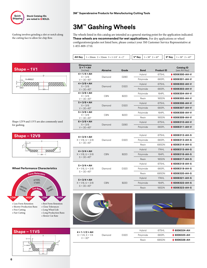

# **3M™ Gashing Wheels**

Gashing involves grinding a slot or notch along the cutting face to allow for chip flow.

The wheels listed in this catalog are intended as a general starting point for the application indicated. **These wheels are recommended for wet applications.** For dry applications or wheel configurations/grades not listed here, please contact your 3M Customer Service Representative at 1-855-809-1710.

| <b>AH Key</b> $1 = 20$ mm $2 = 32$ mm $3 = 1.1/4$ " $4 = 2$ " $\sqrt{8}$ <b>Key</b> $1 = 30^\circ$ $2 = 45^\circ$ $\sqrt{8}$ <b>Key</b> $1 = 30^\circ$ $2 = 45^\circ$ |  |  |  |  |
|-----------------------------------------------------------------------------------------------------------------------------------------------------------------------|--|--|--|--|
|-----------------------------------------------------------------------------------------------------------------------------------------------------------------------|--|--|--|--|







- 
- Slower Cut Rate
- 

| $4 \times 3/4 \times AH$                       |            |             | <b>Hybrid</b> | 675HL                  | $\bullet$ 6006312-AH-S |                        |
|------------------------------------------------|------------|-------------|---------------|------------------------|------------------------|------------------------|
| $X = 1/8$ , $U = 3/8$                          | Diamond    | D320        | Polyimide     | 665PL                  | $\bullet$ 6006313-AH-S |                        |
| $S = 30 - 45^{\circ}$                          |            |             | Resin         | 685DN                  | $\bullet$ 6006314-AH-S |                        |
| $4 \times 3/4 \times AH$                       |            |             | <b>Hybrid</b> | 174HL                  | $\bullet$ 6006315-AH-S |                        |
| $X = 1/8$ , $U = 3/8$                          | <b>CBN</b> | <b>B220</b> | Polyimide     | 164PL                  | $\bullet$ 6006316-AH-S |                        |
| $S = 30 - 45^{\circ}$                          |            |             | Resin         | 185DN                  | $\bullet$ 6006317-AH-S |                        |
| $5 \times 3/4 \times AH$                       |            |             | Hybrid        | 675HL                  | $\bullet$ 6006318-AH-S |                        |
| $X = 1/8$ , $U = 3/8$                          | Diamond    | D320        | Polyimide     | 665PL                  | $\bullet$ 6006319-AH-S |                        |
| $S = 30 - 45^{\circ}$                          |            |             |               | Resin                  | 685DN                  | $\bullet$ 6006320-AH-S |
| $5 \times 3/4 \times AH$                       |            |             | <b>Hybrid</b> | 174HL                  | $\bullet$ 6006321-AH-S |                        |
| $X = 1/8$ , $U = 3/8$<br>$S = 30 - 45^{\circ}$ | <b>CBN</b> | <b>B220</b> | Polyimide     | 164PL                  | $\bullet$ 6006322-AH-S |                        |
|                                                |            | Resin       | 185DN         | $\bullet$ 6006323-AH-S |                        |                        |







| $4 \times 1 - 1/2 \times AH$              |         |      | <b>Hybrid</b> | 675HI | <b>6006324-AH</b> |
|-------------------------------------------|---------|------|---------------|-------|-------------------|
| $U = 1/4$ , $X = 1/4$<br>$V = 30^{\circ}$ | Diamond | D320 | Polvimide     | 665PL | ♦ 6006325-AH      |
|                                           |         |      | Resin         | 685DN | ♦ 6006326-AH      |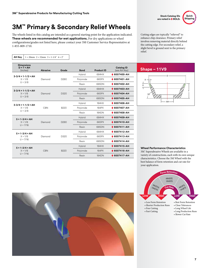# **3M™ Primary & Secondary Relief Wheels**

The wheels listed in this catalog are intended as a general starting point for the application indicated. **These wheels are recommended for wet applications.** For dry applications or wheel configurations/grades not listed here, please contact your 3M Customer Service Representative at 1-855-809-1710.

**AH Key**  $1 = 20$ mm  $2 = 32$ mm  $3 = 1-1/4$ "  $4 = 2$ "



Cutting edges are typically "relieved" to enhance chip clearance. Primary relief involves removing material directly behind the cutting edge. For secondary relief, a slight bevel is ground next to the primary relief.

| <b>Dimensions</b><br>$D \times T \times AH$<br>(inches) | <b>Abrasive</b>         | Grade            | <b>Bond</b>   | <b>Product ID</b> | <b>Catalog ID</b><br>(see AH Key) |
|---------------------------------------------------------|-------------------------|------------------|---------------|-------------------|-----------------------------------|
|                                                         |                         |                  | Hybrid        | 684HX             | ♦ 6007400-AH                      |
| $3-3/4 \times 1-1/2 \times AH$<br>$X = 1/8$             | Diamond                 | D <sub>280</sub> | Polyimide     | 665PX             | $\triangle$ 6007401-AH            |
| $U = 3/8$                                               |                         |                  | Resin         | 685DN             | ♦ 6007402-AH                      |
| $3-3/4 \times 1-1/2 \times AH$                          |                         |                  | Hybrid        | 684HX             | $\triangle$ 6007403-AH            |
| $X = 1/8$                                               | Diamond                 | D320             | Polyimide     | 665PX             | ♦ 6007404-AH                      |
| $U = 3/8$                                               |                         |                  | Resin         | 685DN             | $\bigcirc$ 6007405-AH             |
| $3-3/4 \times 1-1/2 \times AH$                          |                         |                  | Hybrid        | 184HX             | $\bullet$ 6007406-AH              |
| $X = 1/8$                                               | CBN                     | B <sub>220</sub> | Polyimide     | 164PX             | ♦ 6007407-AH                      |
| $U = 3/8$                                               |                         |                  | Resin         | 184DN             | $\bigcirc$ 6007408-AH             |
| $5 \times 1 - 3/4 \times AH$                            |                         |                  | Hybrid        | 684HX             | ♦ 6007409-AH                      |
| $X = 1/8$                                               | Diamond                 | D <sub>280</sub> | Polyimide     | 665PX             | $\bigcirc$ 6007410-AH             |
| $U = 7/16$                                              |                         |                  | Resin         | 685DN             | $\bigstar$ 6007411-AH             |
| $5 \times 1 - 3/4 \times AH$                            |                         |                  | Hybrid        | 684HX             | $\bullet$ 6007412-AH              |
| $X = 1/8$                                               | Diamond                 | D320             | Polyimide     | 665PX             | ♦ 6007413-AH                      |
| $U = 7/16$                                              |                         |                  |               | 685DN             | $\triangle$ 6007414-AH            |
| $5 \times 1 - 3/4 \times AH$                            |                         |                  | <b>Hybrid</b> | 184HX             | $\bigcirc$ 6007415-AH             |
| $X = 1/8$                                               | CBN<br>B <sub>220</sub> |                  | Polyimide     | 164PX             | ♦ 6007416-AH                      |
| $U = 7/16$                                              |                         |                  | Resin         | <b>184DN</b>      | $\bullet$ 6007417-AH              |

#### **Shape – 11V9**



#### **Wheel Performance Characteristics**

3M™ Superabrasive Wheels are available in a variety of constructions, each with its own unique characteristics. Choose the 3M Wheel with the best balance of form retention and cut rate for your application.



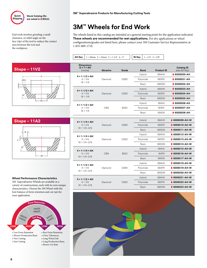

End work involves grinding a small clearance, or relief angle on the face (tip) of the tool to reduce the contact area between the tool and the workpiece.

your application.

• Less Form Retention • Shorter Production Runs • Free Cutting • Fast Cutting

685DN  $184D_N$ 

 $C$ **utR**<sub>a</sub>**t** 

184HX 684HX

**<sup>F</sup>or<sup>m</sup> <sup>R</sup>etentio<sup>n</sup>**

• Best Form Retention • Close Tolerances • Long Wheel Life • Long Production Runs • Slower Cut Rate

665PX 164PX

**HIGH LOW HIGH** 

# **3M™ Wheels for End Work**

The wheels listed in this catalog are intended as a general starting point for the application indicated. **These wheels are recommended for wet applications.** For dry applications or wheel configurations/grades not listed here, please contact your 3M Customer Service Representative at 1-855-809-1710.

**AH Key**  $1 = 20$ mm  $2 = 32$ mm  $3 = 1-1/4$ "  $4 = 2$ " **W Key**  $1 = 1/4$ "  $2 = 3/8$ "

| $Shape - 11V2$                                                                                      | <b>Dimensions</b><br>$D \times T \times AH$<br>(inches)      | <b>Abrasive</b> | Grade       | <b>Bond</b> | <b>Product ID</b> | <b>Catalog ID</b><br>(see AH Key) |
|-----------------------------------------------------------------------------------------------------|--------------------------------------------------------------|-----------------|-------------|-------------|-------------------|-----------------------------------|
| -lwŀ                                                                                                | $4 \times 1 - 1/2 \times AH$                                 | Diamond         | D280        | Hybrid      | 684HX             | ♦ 6008500-AH                      |
|                                                                                                     | $X = 1/4$                                                    |                 |             | Polyimide   | 665PX             | $\bigcirc$ 6008501-AH             |
| $\frac{1}{x}$                                                                                       | $W = 1/4$                                                    |                 |             | Resin       | 685DN             | ♦ 6008502-AH                      |
| $\overline{\mathscr{C}}_{\mathscr{B}}$                                                              | $4 \times 1 - 1/2 \times AH$                                 |                 |             | Hybrid      | 684HX             | ♦ 6008503-AH                      |
|                                                                                                     | $X = 1/4$                                                    | Diamond         | D320        | Polyimide   | 665PX             | ♦ 6008504-AH                      |
|                                                                                                     | $W = 1/4$                                                    |                 |             | Resin       | 685DN             | $\bigcirc$ 6008505-AH             |
| <b>AH</b>                                                                                           | $4 \times 1 - 1/2 \times AH$                                 |                 |             | Hybrid      | 184HX             | ♦ 6008506-AH                      |
|                                                                                                     | $X = 1/4$                                                    | <b>CBN</b>      | <b>B220</b> | Polyimide   | 164PX             | ♦ 6008507-AH                      |
|                                                                                                     | $W = 1/4$                                                    |                 |             | Resin       | 184DN             | ♦ 6008508-AH                      |
| $Shape - 11A2$                                                                                      |                                                              |                 |             | Hybrid      | 684HX             | ♦ 6008509-AH-W                    |
| n<br>$W \vdash$                                                                                     | $4 \times 1 - 1/4 \times AH$<br>$X = 1/4$<br>$W = 1/4 - 3/8$ | Diamond         | D280        | Polyimide   | 665PX             | $\bullet$ 6008510-AH-W            |
|                                                                                                     |                                                              |                 |             | Resin       | 685DN             | $\bigcirc$ 6008511-AH-W           |
|                                                                                                     | $4 \times 1 - 1/4 \times AH$                                 | Diamond         |             | Hybrid      | 684HX             | $\triangle$ 6008512-AH-W          |
| $x^{\top}$                                                                                          | $X = 1/4$                                                    |                 | D320        | Polyimide   | 665PX             | $\bullet$ 6008513-AH-W            |
|                                                                                                     | $W = 1/4 - 3/8$                                              |                 |             | Resin       | 685DN             | $\bullet$ 6008514-AH-W            |
|                                                                                                     | $4 \times 1 - 1/4 \times AH$                                 | <b>CBN</b>      |             | Hybrid      | 184HX             | $\bigcirc$ 6008515-AH-W           |
|                                                                                                     | $X = 1/4$                                                    |                 | <b>B220</b> | Polyimide   | 164PX             | $\bigcirc$ 6008516-AH-W           |
| AH-                                                                                                 | $W = 1/4 - 3/8$                                              |                 |             | Resin       | 184DN             | $\bigcirc$ 6008517-AH-W           |
|                                                                                                     | $5 \times 1 - 1/2 \times AH$                                 |                 | D280        | Hybrid      | 684HX             | $\triangle$ 6008518-AH-W          |
|                                                                                                     | $X = 1/4$                                                    | Diamond         |             | Polyimide   | 665PX             | ♦ 6008519-AH-W                    |
|                                                                                                     | $W = 1/4 - 3/8$                                              |                 |             | Resin       | 685DN             | $\bigcirc$ 6008520-AH-W           |
| <b>Wheel Performance Characteristics</b>                                                            |                                                              | Diamond         | D320        | Hybrid      | 684HX             | ♦ 6008521-AH-W                    |
| 3M" Superabrasive Wheels are available in a                                                         | $5 \times 1 - 1/2 \times AH$<br>$X = 1/4$                    |                 |             | Polyimide   | 665PX             | $\bigcirc$ 6008522-AH-W           |
| variety of constructions, each with its own unique<br>characteristics. Choose the 3M Wheel with the | $W = 1/4 - 3/8$                                              |                 |             | Resin       | 685DN             | $\bigcirc$ 6008523-AH-W           |
| best balance of form retention and cut rate for                                                     |                                                              |                 |             |             |                   |                                   |



**8**

**LOW**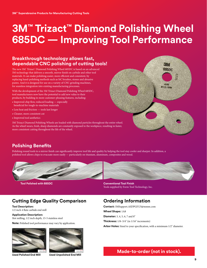# **3M™ Trizact™ Diamond Polishing Wheel 685DC — Improving Tool Performance**

### **Breakthrough technology allows fast, dependable CNC polishing of cutting tools!**

The new 3M™ Trizact™ Diamond Polishing Wheel 685DC is based on an advanced 3M technology that delivers a smooth, mirror finish on carbide and other tool materials. It can make polishing easier, more efficient and consistent, by replacing hand-polishing methods such as SiC brushes, stones and abrasive pastes. And it is designed for use on a variety of CNC grinding machines, for seamless integration into existing manufacturing processes.

With the development of the 3M Trizact Diamond Polishing Wheel 685DC, tool manufacturers now have the potential to add new value to their products, by building in more customer-pleasing features, including:

- Improved chip flow, reduced loading especially
- beneficial for tough-to-machine materials • Less heat and friction — tools last longer
- Cleaner, more consistent cut
- Improved tool aesthetics

3M Trizact Diamond Polishing Wheels are loaded with diamond particles throughout the entire wheel. As the wheel wears, fresh, sharp diamonds are constantly exposed to the workpiece, resulting in faster, more consistent cutting throughout the life of the wheel.



### **Polishing Benefits**

Polishing round tools to a mirror finish can significantly improve tool life and quality by helping the tool stay cooler and sharper. In addition, a polished tool allows chips to evacuate more easily — particularly on titanium, aluminum, composites and wood.



**Tool Polished with 685DC**

#### **Conventional Tool Finish** Tools supplied by Form Tool Technology, Inc.

### **Cutting Edge Quality Comparison**

**Tool Description:** 1/2 inch 4 flute carbide end mill

**Application Description:** Slot milling, 1/2 inch depth, 15-5 stainless steel

**Note:** Polished tool performance may vary by application.



**Used Polished End Mill**



### **Ordering Information**

**Contact:** 3MSupport.ASDPGF.US@mmm.com **Wheel Shape:** 1A8 **Diameter:** 3, 4, 5, 6, 7 and 8" **Thickness:** 1/8–3/4" (in 1/16" increments) **Arbor Holes:** Sized to your specification, with a minimum 1/2" diameter.

**Made-to-order (not in stock).**<br>Used Unpolished End Mill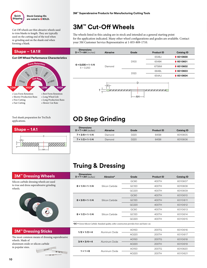

Cut-Off wheels are thin abrasive wheels used to trim blanks to length. They are typically used on the cutting end of the tool when re-grinding and on the shank end when forming a blank.

# **3M™ Cut-Off Wheels**

The wheels listed in this catalog are in stock and intended as a general starting point for the application indicated. Many other wheel configurations and grades are available. Contact your 3M Customer Service Representative at 1-855-809-1710.

### **Shape – 1A1R Dimensions**

#### **Cut-Off Wheel Performance Characteristics**









| Tool shank preparation for TruTech |                         |
|------------------------------------|-------------------------|
| applications.                      | <b>OD Step Grinding</b> |

| <b>Dimensions</b><br>$D \times T \times AH$ (inches) | Abrasive | Grade            | <b>Product ID</b> | <b>Catalog ID</b> |
|------------------------------------------------------|----------|------------------|-------------------|-------------------|
| $7 \times 3/8 \times 1 - 1/4$                        | Diamond  | D220             | 645BI             | 6010605           |
| $7 \times 1/2 \times 1 - 1/4$                        | Diamond  | D <sub>220</sub> | 645BI             | 6010606           |

AO220 200TH 6010621

## **Truing & Dressing**

**1 × 1 × 6** Aluminum Oxide

| <b>3M<sup>™</sup> Dressing Wheels</b>                                                               | <b>Dimensions</b><br>$D \times T \times AH$ (inches) | Abrasive*                                                                                         | Grade       | <b>Product ID</b> | <b>Catalog ID</b> |
|-----------------------------------------------------------------------------------------------------|------------------------------------------------------|---------------------------------------------------------------------------------------------------|-------------|-------------------|-------------------|
| licon carbide dressing wheels are used                                                              |                                                      |                                                                                                   | <b>GC80</b> | 400TH             | 6010607           |
| true and dress superabrasive grinding<br>heels.                                                     | $8 \times 1/4 \times 1 - 1/4$                        | Silicon Carbide                                                                                   | GC120       | 400TH             | 6010608           |
|                                                                                                     |                                                      |                                                                                                   | GC220       | 400TH             | 6010609           |
|                                                                                                     |                                                      |                                                                                                   | <b>GC80</b> | 400TH             | 6010610           |
|                                                                                                     | $8 \times 3/8 \times 1 - 1/4$                        | Silicon Carbide                                                                                   | GC120       | 400TH             | 6010611           |
|                                                                                                     |                                                      |                                                                                                   | GC220       | 400TH             | 6010612           |
|                                                                                                     | $8 \times 1/2 \times 1 - 1/4$                        | Silicon Carbide                                                                                   | GC80        | 400TH             | 6010613           |
|                                                                                                     |                                                      |                                                                                                   | GC120       | 400TH             | 6010614           |
|                                                                                                     |                                                      |                                                                                                   | GC220       | 400TH             | 6010615           |
|                                                                                                     |                                                      | *GC = Green Silicon Carbide. Standard quality, softer construction provides freer and faster cut. |             |                   |                   |
| <b>3M<sup>*</sup></b> Dressing Sticks                                                               | $1/2 \times 1/2 \times 4$                            | Aluminum Oxide                                                                                    | AO150       | 200TG             | 6010616           |
|                                                                                                     |                                                      |                                                                                                   | AO220       | 200TH             | 6010617           |
| ne most common means of dressing superabrasive<br>heels. Made of<br>uminum oxide or silicon carbide |                                                      | Aluminum Oxide                                                                                    | AO150       | 200TG             | 6010618           |
|                                                                                                     | $3/4 \times 3/4 \times 4$                            |                                                                                                   | AO220       | 200TH             | 6010619           |
| popular sizes.<br>$-100$                                                                            |                                                      |                                                                                                   | AO150       | 200T <sub>G</sub> | 6010620           |

Silicon carbide to true and dre wheels.



#### **3M™ D**

 $34.150$ 

388 2001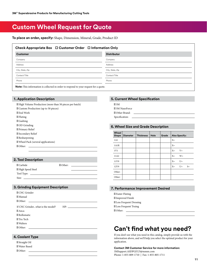## **Custom Wheel Request for Quote**

**To place an order, specify:** Shape, Dimension, Mineral, Grade, Product ID

#### **Check Appropriate Box □ Customer Order □ Information Only**

| <b>Customer</b>                                                                                                                                                                                                                                                                                         | <b>Distributor</b> |
|---------------------------------------------------------------------------------------------------------------------------------------------------------------------------------------------------------------------------------------------------------------------------------------------------------|--------------------|
| Company                                                                                                                                                                                                                                                                                                 | Company            |
| Address                                                                                                                                                                                                                                                                                                 | Address            |
| City, State, Zip                                                                                                                                                                                                                                                                                        | City, State, Zip   |
| Contact/Title                                                                                                                                                                                                                                                                                           | Contact/Title      |
| Phone                                                                                                                                                                                                                                                                                                   | Phone              |
| <b>M</b> and $\mathbf{r}$ and $\mathbf{r}$ and $\mathbf{r}$ and $\mathbf{r}$ and $\mathbf{r}$ and $\mathbf{r}$ and $\mathbf{r}$ and $\mathbf{r}$ and $\mathbf{r}$ and $\mathbf{r}$ and $\mathbf{r}$ and $\mathbf{r}$ and $\mathbf{r}$ and $\mathbf{r}$ and $\mathbf{r}$ and $\mathbf{r}$ and $\mathbf{$ |                    |

**Note:** This information is collected in order to respond to your request for a quote.

#### **1. Application Description**

High Volume Production (more than 50 pieces per batch) □ Custom Production (up to 50 pieces) □ End Work **Fluting** Gashing OD Grinding Primary Relief Secondary Relief □ Resharpening Wheel Pack (several applications) Other:

#### **2. Tool Description**

| Carbide          | Other: |  |
|------------------|--------|--|
| High Speed Steel |        |  |
|                  |        |  |
| Size:            |        |  |

#### **3. Grinding Equipment Description**

| CNC Grinder                                                  |     |
|--------------------------------------------------------------|-----|
| Manual                                                       |     |
| Other:<br><u> 1989 - John Stein, Amerikaansk politiker (</u> |     |
| If CNC Grinderwhat is the model?                             | HP: |
| Anca                                                         |     |
| Rollomatic                                                   |     |
| Tru Tech                                                     |     |
| Walters                                                      |     |
| Other:                                                       |     |

#### **4. Coolant Type**

| Straight Oil |  |
|--------------|--|
| Water Based  |  |
| Other:       |  |

#### **5. Current Wheel Specification**

- □ 3M 3M NaxoForce
- Other Brand:
- Specification:

#### **6. Wheel Size and Grade Description**

| Wheel<br>Shape | <b>Diameter</b> | <b>Thickness</b> | Hole | Grade |           | <b>Also Specify:</b> |      |
|----------------|-----------------|------------------|------|-------|-----------|----------------------|------|
| 1A1            |                 |                  |      |       | $X =$     |                      |      |
| 1A1R           |                 |                  |      |       | $X =$     |                      |      |
| 1V1            |                 |                  |      |       | $X =$     | $V =$                |      |
| 11A2           |                 |                  |      |       | $X =$     | $W =$                |      |
| 11V9           |                 |                  |      |       | $X =$     | $U=$                 |      |
| 12V9           |                 |                  |      |       | $X = U =$ |                      | $S=$ |
| Other:         |                 |                  |      |       |           |                      |      |
| Other:         |                 |                  |      |       |           |                      |      |

#### **7. Performance Improvement Desired**

Faster Fluting Improved Finish Less Frequent Dressing Less Frequent Truing Other: \_

## **Can't find what you need?**

If you don't see what you need in this catalog, simply provide us with the information above, and we'll help you select the optimal product for your application.

#### **Contact 3M Customer Service for more information:** 3MSupport.ASDPGF.US@mmm.com

Phone: 1-855-809-1710 | Fax: 1-855-805-1711